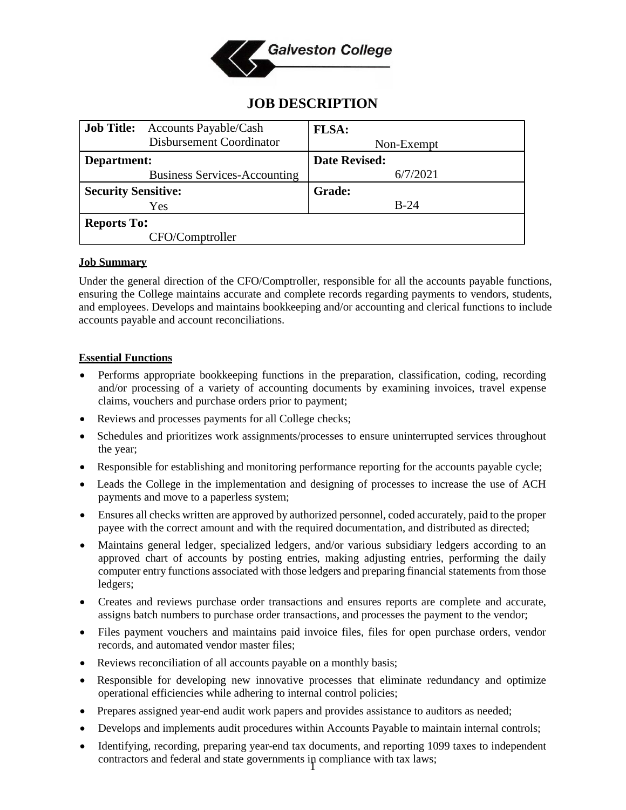

# **JOB DESCRIPTION**

| <b>Job Title:</b>          | <b>Accounts Payable/Cash</b>        | <b>FLSA:</b>         |
|----------------------------|-------------------------------------|----------------------|
|                            | Disbursement Coordinator            | Non-Exempt           |
| Department:                |                                     | <b>Date Revised:</b> |
|                            | <b>Business Services-Accounting</b> | 6/7/2021             |
| <b>Security Sensitive:</b> |                                     | <b>Grade:</b>        |
|                            | Yes                                 | $B-24$               |
| <b>Reports To:</b>         |                                     |                      |
|                            | CFO/Comptroller                     |                      |

#### **Job Summary**

Under the general direction of the CFO/Comptroller, responsible for all the accounts payable functions, ensuring the College maintains accurate and complete records regarding payments to vendors, students, and employees. Develops and maintains bookkeeping and/or accounting and clerical functions to include accounts payable and account reconciliations.

#### **Essential Functions**

- Performs appropriate bookkeeping functions in the preparation, classification, coding, recording and/or processing of a variety of accounting documents by examining invoices, travel expense claims, vouchers and purchase orders prior to payment;
- Reviews and processes payments for all College checks;
- Schedules and prioritizes work assignments/processes to ensure uninterrupted services throughout the year;
- Responsible for establishing and monitoring performance reporting for the accounts payable cycle;
- Leads the College in the implementation and designing of processes to increase the use of ACH payments and move to a paperless system;
- Ensures all checks written are approved by authorized personnel, coded accurately, paid to the proper payee with the correct amount and with the required documentation, and distributed as directed;
- Maintains general ledger, specialized ledgers, and/or various subsidiary ledgers according to an approved chart of accounts by posting entries, making adjusting entries, performing the daily computer entry functions associated with those ledgers and preparing financial statements from those ledgers;
- Creates and reviews purchase order transactions and ensures reports are complete and accurate, assigns batch numbers to purchase order transactions, and processes the payment to the vendor;
- Files payment vouchers and maintains paid invoice files, files for open purchase orders, vendor records, and automated vendor master files;
- Reviews reconciliation of all accounts payable on a monthly basis;
- Responsible for developing new innovative processes that eliminate redundancy and optimize operational efficiencies while adhering to internal control policies;
- Prepares assigned year-end audit work papers and provides assistance to auditors as needed;
- Develops and implements audit procedures within Accounts Payable to maintain internal controls;
- 1 contractors and federal and state governments in compliance with tax laws;• Identifying, recording, preparing year-end tax documents, and reporting 1099 taxes to independent